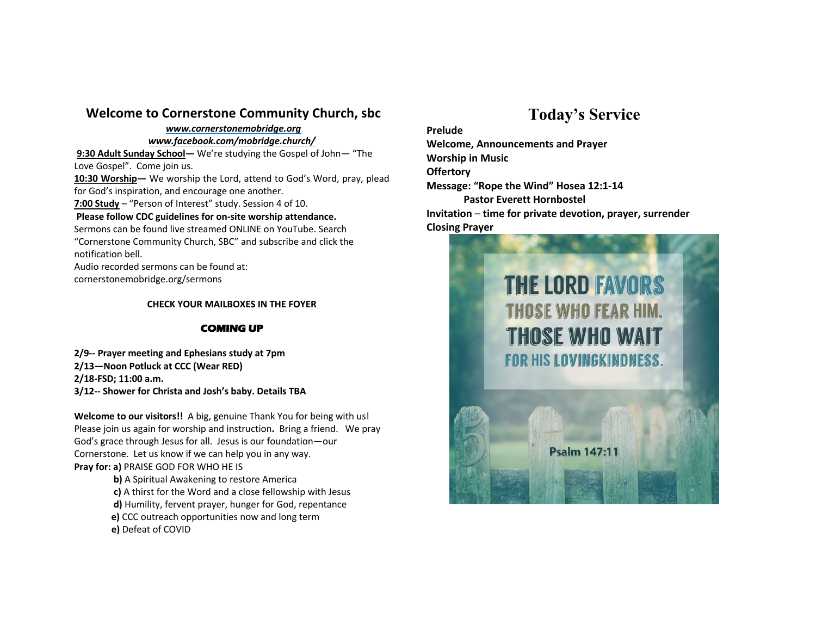### **Welcome to Cornerstone Community Church, sbc**

## *www.cornerstonemobridge.org*

*www.facebook.com/mobridge.church/*

**9:30 Adult Sunday School—** We're studying the Gospel of John— "The Love Gospel". Come join us.

**10:30 Worship—** We worship the Lord, attend to God's Word, pray, plead for God's inspiration, and encourage one another.

**7:00 Study** – "Person of Interest" study. Session 4 of 10.

#### **Please follow CDC guidelines for on-site worship attendance.**

Sermons can be found live streamed ONLINE on YouTube. Search "Cornerstone Community Church, SBC" and subscribe and click the notification bell.

Audio recorded sermons can be found at: cornerstonemobridge.org/sermons

#### **CHECK YOUR MAILBOXES IN THE FOYER**

#### **COMING UP**

**2/9-- Prayer meeting and Ephesians study at 7pm 2/13—Noon Potluck at CCC (Wear RED) 2/18-FSD; 11:00 a.m. 3/12-- Shower for Christa and Josh's baby. Details TBA**

**Welcome to our visitors!!** A big, genuine Thank You for being with us! Please join us again for worship and instruction**.** Bring a friend. We pray God's grace through Jesus for all. Jesus is our foundation—our Cornerstone. Let us know if we can help you in any way. **Pray for: a)** PRAISE GOD FOR WHO HE IS

> **b)** A Spiritual Awakening to restore America **c)** A thirst for the Word and a close fellowship with Jesus **d)** Humility, fervent prayer, hunger for God, repentance **e)** CCC outreach opportunities now and long term **e)** Defeat of COVID

# **Today's Service**

**Prelude Welcome, Announcements and Prayer Worship in Music Offertory Message: "Rope the Wind" Hosea 12:1-14 Pastor Everett Hornbostel Invitation** – **time for private devotion, prayer, surrender Closing Prayer**